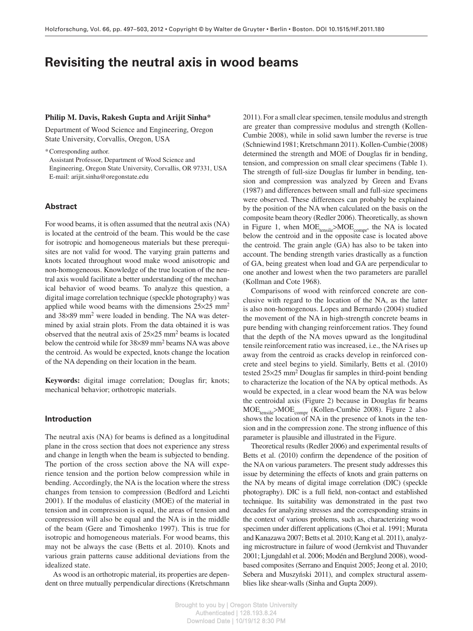# **Revisiting the neutral axis in wood beams**

## **Philip M. Davis, Rakesh Gupta and Arijit Sinha \***

Department of Wood Science and Engineering, Oregon State University, Corvallis, Oregon, USA

\* Corresponding author.

Assistant Professor, Department of Wood Science and Engineering, Oregon State University, Corvallis, OR 97331, USA E-mail: arijit.sinha@oregonstate.edu

## **Abstract**

 For wood beams, it is often assumed that the neutral axis (NA) is located at the centroid of the beam. This would be the case for isotropic and homogeneous materials but these prerequisites are not valid for wood. The varying grain patterns and knots located throughout wood make wood anisotropic and non-homogeneous. Knowledge of the true location of the neutral axis would facilitate a better understanding of the mechanical behavior of wood beams. To analyze this question, a digital image correlation technique (speckle photography) was applied while wood beams with the dimensions  $25 \times 25$  mm<sup>2</sup> and  $38 \times 89$  mm<sup>2</sup> were loaded in bending. The NA was determined by axial strain plots. From the data obtained it is was observed that the neutral axis of  $25 \times 25$  mm<sup>2</sup> beams is located below the centroid while for 38×89 mm<sup>2</sup> beams NA was above the centroid. As would be expected, knots change the location of the NA depending on their location in the beam.

Keywords: digital image correlation; Douglas fir; knots; mechanical behavior; orthotropic materials.

## **Introduction**

The neutral axis (NA) for beams is defined as a longitudinal plane in the cross section that does not experience any stress and change in length when the beam is subjected to bending. The portion of the cross section above the NA will experience tension and the portion below compression while in bending. Accordingly, the NA is the location where the stress changes from tension to compression (Bedford and Leichti 2001). If the modulus of elasticity (MOE) of the material in tension and in compression is equal, the areas of tension and compression will also be equal and the NA is in the middle of the beam (Gere and Timoshenko 1997). This is true for isotropic and homogeneous materials. For wood beams, this may not be always the case (Betts et al. 2010). Knots and various grain patterns cause additional deviations from the idealized state.

 As wood is an orthotropic material, its properties are dependent on three mutually perpendicular directions (Kretschmann  2011 ). For a small clear specimen, tensile modulus and strength are greater than compressive modulus and strength (Kollen-Cumbie 2008), while in solid sawn lumber the reverse is true (Schniewind 1981; Kretschmann 2011 ). Kollen -Cumbie (2008) determined the strength and MOE of Douglas fir in bending, tension, and compression on small clear specimens (Table 1). The strength of full-size Douglas fir lumber in bending, tension and compression was analyzed by Green and Evans (1987) and differences between small and full-size specimens were observed. These differences can probably be explained by the position of the NA when calculated on the basis on the composite beam theory (Redler 2006). Theoretically, as shown in Figure 1, when  $MOE_{tensile} > MOE_{compr}$ , the NA is located below the centroid and in the opposite case is located above the centroid. The grain angle (GA) has also to be taken into account. The bending strength varies drastically as a function of GA, being greatest when load and GA are perpendicular to one another and lowest when the two parameters are parallel (Kollman and Cote 1968).

 Comparisons of wood with reinforced concrete are conclusive with regard to the location of the NA, as the latter is also non-homogenous. Lopes and Bernardo (2004) studied the movement of the NA in high-strength concrete beams in pure bending with changing reinforcement ratios. They found that the depth of the NA moves upward as the longitudinal tensile reinforcement ratio was increased, i.e., the NA rises up away from the centroid as cracks develop in reinforced concrete and steel begins to yield. Similarly, Betts et al. (2010) tested  $25 \times 25$  mm<sup>2</sup> Douglas fir samples in third-point bending to characterize the location of the NA by optical methods. As would be expected, in a clear wood beam the NA was below the centroidal axis (Figure 2) because in Douglas fir beams MOE tensile> MOE compr (Kollen -Cumbie 2008 ). Figure 2 also shows the location of NA in the presence of knots in the tension and in the compression zone. The strong influence of this parameter is plausible and illustrated in the Figure.

Theoretical results (Redler 2006) and experimental results of Betts et al. (2010) confirm the dependence of the position of the NA on various parameters. The present study addresses this issue by determining the effects of knots and grain patterns on the NA by means of digital image correlation (DIC) (speckle photography). DIC is a full field, non-contact and established technique. Its suitability was demonstrated in the past two decades for analyzing stresses and the corresponding strains in the context of various problems, such as, characterizing wood specimen under different applications (Choi et al. 1991; Murata and Kanazawa 2007; Betts et al. 2010; Kang et al. 2011), analyzing microstructure in failure of wood (Jernkvist and Thuvander 2001; Ljungdahl et al. 2006; Modén and Berglund 2008), woodbased composites (Serrano and Enquist 2005; Jeong et al. 2010; Sebera and Muszyński 2011), and complex structural assemblies like shear-walls (Sinha and Gupta 2009).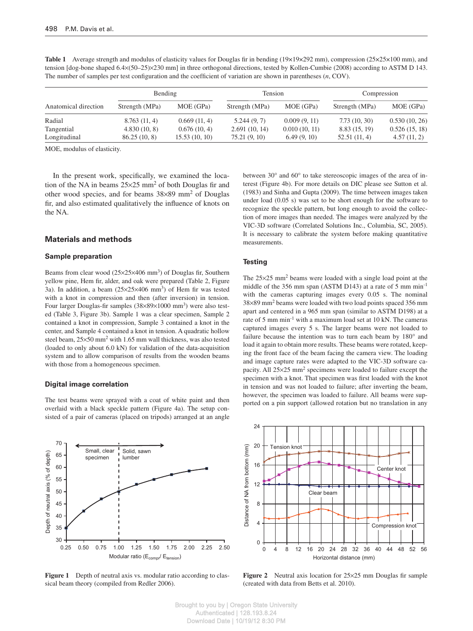|                      | Bending        |               | Tension        |               | Compression    |               |
|----------------------|----------------|---------------|----------------|---------------|----------------|---------------|
| Anatomical direction | Strength (MPa) | MOE (GPa)     | Strength (MPa) | MOE (GPa)     | Strength (MPa) | MOE (GPa)     |
| Radial               | 8.763(11, 4)   | 0.669(11, 4)  | 5.244(9, 7)    | 0.009(9, 11)  | 7.73(10, 30)   | 0.530(10, 26) |
| Tangential           | 4.830(10, 8)   | 0.676(10, 4)  | 2.691(10, 14)  | 0.010(10, 11) | 8.83 (15, 19)  | 0.526(15, 18) |
| Longitudinal         | 86.25(10, 8)   | 15.53(10, 10) | 75.21(9, 10)   | 6.49(9, 10)   | 52.51(11, 4)   | 4.57(11, 2)   |

**Table 1** Average strength and modulus of elasticity values for Douglas fir in bending ( $19 \times 19 \times 292$  mm), compression ( $25 \times 25 \times 100$  mm), and tension [dog-bone shaped 6.4×(50–25)×230 mm] in three orthogonal directions, tested by Kollen-Cumbie (2008) according to ASTM D 143. The number of samples per test configuration and the coefficient of variation are shown in parentheses (*n*, COV).

MOE, modulus of elasticity.

In the present work, specifically, we examined the location of the NA in beams  $25 \times 25$  mm<sup>2</sup> of both Douglas fir and other wood species, and for beams  $38 \times 89$  mm<sup>2</sup> of Douglas fir, and also estimated qualitatively the influence of knots on the NA.

## **Materials and methods**

#### **Sample preparation**

Beams from clear wood  $(25 \times 25 \times 406 \text{ mm}^3)$  of Douglas fir, Southern yellow pine, Hem fir, alder, and oak were prepared (Table 2, Figure 3a). In addition, a beam  $(25 \times 25 \times 406 \text{ mm}^3)$  of Hem fir was tested with a knot in compression and then (after inversion) in tension. Four larger Douglas-fir samples (38×89×1000 mm<sup>3</sup>) were also tested (Table 3, Figure 3b). Sample 1 was a clear specimen, Sample 2 contained a knot in compression, Sample 3 contained a knot in the center, and Sample 4 contained a knot in tension. A quadratic hollow steel beam,  $25 \times 50$  mm<sup>2</sup> with 1.65 mm wall thickness, was also tested (loaded to only about 6.0 kN) for validation of the data-acquisition system and to allow comparison of results from the wooden beams with those from a homogeneous specimen.

#### **Digital image correlation**

 The test beams were sprayed with a coat of white paint and then overlaid with a black speckle pattern (Figure 4a). The setup consisted of a pair of cameras (placed on tripods) arranged at an angle



**Figure 1** Depth of neutral axis vs. modular ratio according to classical beam theory (compiled from Redler 2006).

between  $30^{\circ}$  and  $60^{\circ}$  to take stereoscopic images of the area of interest (Figure 4b). For more details on DIC please see Sutton et al. (1983) and Sinha and Gupta (2009) . The time between images taken under load (0.05 s) was set to be short enough for the software to recognize the speckle pattern, but long enough to avoid the collection of more images than needed. The images were analyzed by the VIC-3D software (Correlated Solutions Inc., Columbia, SC, 2005). It is necessary to calibrate the system before making quantitative measurements.

#### **Testing**

The  $25 \times 25$  mm<sup>2</sup> beams were loaded with a single load point at the middle of the 356 mm span (ASTM D143) at a rate of 5 mm min<sup>-1</sup> with the cameras capturing images every 0.05 s. The nominal 38 × 89 mm 2 beams were loaded with two load points spaced 356 mm apart and centered in a 965 mm span (similar to ASTM D198) at a rate of 5 mm min<sup>-1</sup> with a maximum load set at 10 kN. The cameras captured images every 5 s. The larger beams were not loaded to failure because the intention was to turn each beam by  $180^\circ$  and load it again to obtain more results. These beams were rotated, keeping the front face of the beam facing the camera view. The loading and image capture rates were adapted to the VIC-3D software capacity. All  $25 \times 25$  mm<sup>2</sup> specimens were loaded to failure except the specimen with a knot. That specimen was first loaded with the knot in tension and was not loaded to failure; after inverting the beam, however, the specimen was loaded to failure. All beams were supported on a pin support (allowed rotation but no translation in any



**Figure 2** Neutral axis location for 25×25 mm Douglas fir sample (created with data from Betts et al. 2010).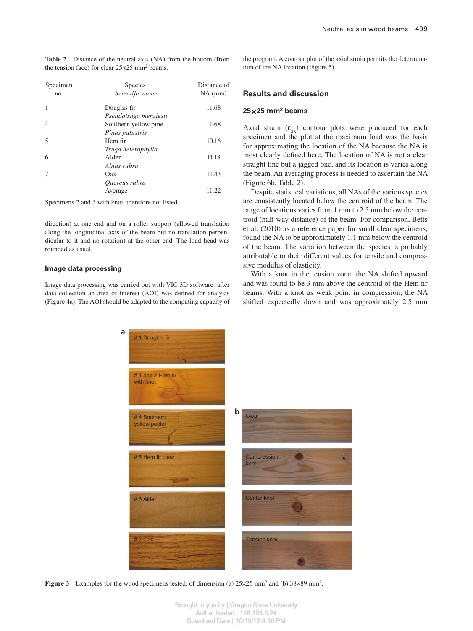| Specimen<br>no. | <b>Species</b><br>Scientific name | Distance of<br>$NA$ (mm) |  |  |
|-----------------|-----------------------------------|--------------------------|--|--|
|                 | Douglas fir                       | 11.68                    |  |  |
|                 | Pseudotsuga menziesii             |                          |  |  |
|                 | Southern yellow pine              | 11.68                    |  |  |
|                 | Pinus palustris                   |                          |  |  |
| 5               | Hem fir                           | 10.16                    |  |  |
|                 | Tsuga heterophylla                |                          |  |  |
| 6               | Alder                             | 11.18                    |  |  |
|                 | Alnus rubra                       |                          |  |  |
|                 | Oak                               | 11.43                    |  |  |
|                 | Ouercus rubra                     |                          |  |  |
|                 | Average                           | 11.22                    |  |  |

**Table 2** Distance of the neutral axis (NA) from the bottom (from the tension face) for clear  $25 \times 25$  mm<sup>2</sup> beams.

Specimens 2 and 3 with knot, therefore not listed.

direction) at one end and on a roller support (allowed translation along the longitudinal axis of the beam but no translation perpendicular to it and no rotation) at the other end. The load head was rounded as usual.

### **Image data processing**

 Image data processing was carried out with VIC 3D software: after data collection an area of interest (AOI) was defined for analysis (Figure 4a). The AOI should be adapted to the computing capacity of the program. A contour plot of the axial strain permits the determination of the NA location (Figure 5).

## **Results and discussion**

## **25** × **25 mm 2 beams**

Axial strain  $(\varepsilon_{xx})$  contour plots were produced for each specimen and the plot at the maximum load was the basis for approximating the location of the NA because the NA is most clearly defined here. The location of NA is not a clear straight line but a jagged one, and its location is varies along the beam. An averaging process is needed to ascertain the NA (Figure 6b, Table 2).

 Despite statistical variations, all NAs of the various species are consistently located below the centroid of the beam. The range of locations varies from 1 mm to 2.5 mm below the centroid (half-way distance) of the beam. For comparison, Betts et al. (2010) as a reference paper for small clear specimens, found the NA to be approximately 1.1 mm below the centroid of the beam. The variation between the species is probably attributable to their different values for tensile and compressive modulus of elasticity.

 With a knot in the tension zone, the NA shifted upward and was found to be 3 mm above the centroid of the Hem fir beams. With a knot as weak point in compression, the NA shifted expectedly down and was approximately 2.5 mm



**Figure 3** Examples for the wood specimens tested, of dimension (a)  $25 \times 25$  mm<sup>2</sup> and (b)  $38 \times 89$  mm<sup>2</sup>.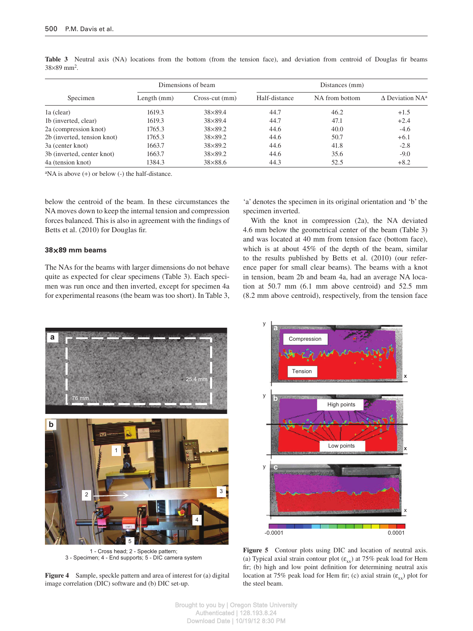|                             |               | Dimensions of beam | Distances (mm) |                |                                       |  |
|-----------------------------|---------------|--------------------|----------------|----------------|---------------------------------------|--|
| Specimen                    | Length $(mm)$ | $Cross-cut (mm)$   | Half-distance  | NA from bottom | $\triangle$ Deviation NA <sup>a</sup> |  |
| la (clear)                  | 1619.3        | $38\times89.4$     | 44.7           | 46.2           | $+1.5$                                |  |
| 1b (inverted, clear)        | 1619.3        | $38\times89.4$     | 44.7           | 47.1           | $+2.4$                                |  |
| 2a (compression knot)       | 1765.3        | $38\times89.2$     | 44.6           | 40.0           | $-4.6$                                |  |
| 2b (inverted, tension knot) | 1765.3        | $38\times89.2$     | 44.6           | 50.7           | $+6.1$                                |  |
| 3a (center knot)            | 1663.7        | $38\times89.2$     | 44.6           | 41.8           | $-2.8$                                |  |
| 3b (inverted, center knot)  | 1663.7        | $38\times89.2$     | 44.6           | 35.6           | $-9.0$                                |  |
| 4a (tension knot)           | 1384.3        | $38\times88.6$     | 44.3           | 52.5           | $+8.2$                                |  |

Table 3 Neutral axis (NA) locations from the bottom (from the tension face), and deviation from centroid of Douglas fir beams  $38 \times 89$  mm<sup>2</sup>.

 ${}^{\text{a}}$ NA is above (+) or below (-) the half-distance.

below the centroid of the beam. In these circumstances the NA moves down to keep the internal tension and compression forces balanced. This is also in agreement with the findings of Betts et al. (2010) for Douglas fir.

## **38** × **89 mm beams**

 The NAs for the beams with larger dimensions do not behave quite as expected for clear specimens (Table 3). Each specimen was run once and then inverted, except for specimen 4a for experimental reasons (the beam was too short). In Table 3,

'a' denotes the specimen in its original orientation and 'b' the specimen inverted.

 With the knot in compression (2a), the NA deviated 4.6 mm below the geometrical center of the beam (Table 3) and was located at 40 mm from tension face (bottom face), which is at about  $45\%$  of the depth of the beam, similar to the results published by Betts et al. (2010) (our reference paper for small clear beams). The beams with a knot in tension, beam 2b and beam 4a, had an average NA location at 50.7 mm (6.1 mm above centroid) and 52.5 mm (8.2 mm above centroid), respectively, from the tension face



1 - Cross head; 2 - Speckle pattern; 3 - Specimen; 4 - End supports; 5 - DIC camera system

**Figure 4** Sample, speckle pattern and area of interest for (a) digital image correlation (DIC) software and (b) DIC set-up.



**Figure 5** Contour plots using DIC and location of neutral axis. (a) Typical axial strain contour plot  $(\epsilon_{xx})$  at 75% peak load for Hem fir; (b) high and low point definition for determining neutral axis location at 75% peak load for Hem fir; (c) axial strain  $(\varepsilon_{xx})$  plot for the steel beam.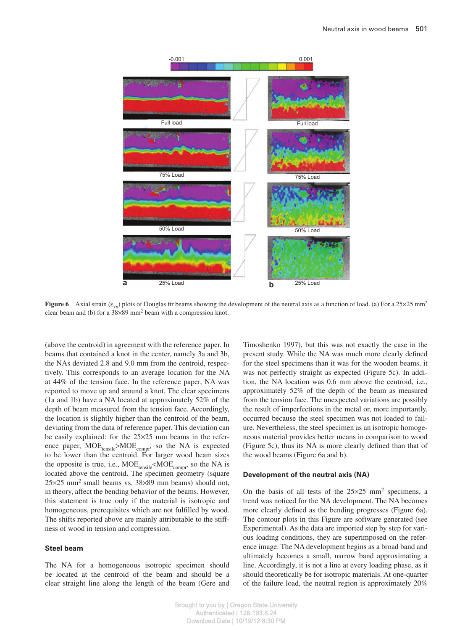

**Figure 6** Axial strain ( $\varepsilon_{xx}$ ) plots of Douglas fir beams showing the development of the neutral axis as a function of load. (a) For a 25×25 mm<sup>2</sup> clear beam and (b) for a  $38 \times 89$  mm<sup>2</sup> beam with a compression knot.

(above the centroid) in agreement with the reference paper. In beams that contained a knot in the center, namely 3a and 3b, the NAs deviated 2.8 and 9.0 mm from the centroid, respectively. This corresponds to an average location for the NA at 44% of the tension face. In the reference paper, NA was reported to move up and around a knot. The clear specimens (1a and 1b) have a NA located at approximately 52% of the depth of beam measured from the tension face. Accordingly, the location is slightly higher than the centroid of the beam, deviating from the data of reference paper. This deviation can be easily explained: for the  $25 \times 25$  mm beams in the reference paper,  $\text{MOE}_{\text{tensile}} > \text{MOE}_{\text{compr}}$ , so the NA is expected to be lower than the centroid. For larger wood beam sizes the opposite is true, i.e.,  $MOE_{tensile} < MOE_{compr}$ , so the NA is located above the centroid. The specimen geometry (square  $25 \times 25$  mm<sup>2</sup> small beams vs.  $38 \times 89$  mm beams) should not, in theory, affect the bending behavior of the beams. However, this statement is true only if the material is isotropic and homogeneous, prerequisites which are not fulfilled by wood. The shifts reported above are mainly attributable to the stiffness of wood in tension and compression.

## **Steel beam**

 The NA for a homogeneous isotropic specimen should be located at the centroid of the beam and should be a clear straight line along the length of the beam (Gere and

Timoshenko 1997), but this was not exactly the case in the present study. While the NA was much more clearly defined for the steel specimens than it was for the wooden beams, it was not perfectly straight as expected (Figure 5c). In addition, the NA location was 0.6 mm above the centroid, i.e., approximately 52% of the depth of the beam as measured from the tension face. The unexpected variations are possibly the result of imperfections in the metal or, more importantly, occurred because the steel specimen was not loaded to failure. Nevertheless, the steel specimen as an isotropic homogeneous material provides better means in comparison to wood (Figure 5c), thus its NA is more clearly defined than that of the wood beams (Figure 6a and b).

## **Development of the neutral axis (NA)**

On the basis of all tests of the  $25 \times 25$  mm<sup>2</sup> specimens, a trend was noticed for the NA development. The NA becomes more clearly defined as the bending progresses (Figure 6a). The contour plots in this Figure are software generated (see Experimental). As the data are imported step by step for various loading conditions, they are superimposed on the reference image. The NA development begins as a broad band and ultimately becomes a small, narrow band approximating a line. Accordingly, it is not a line at every loading phase, as it should theoretically be for isotropic materials. At one-quarter of the failure load, the neutral region is approximately  $20\%$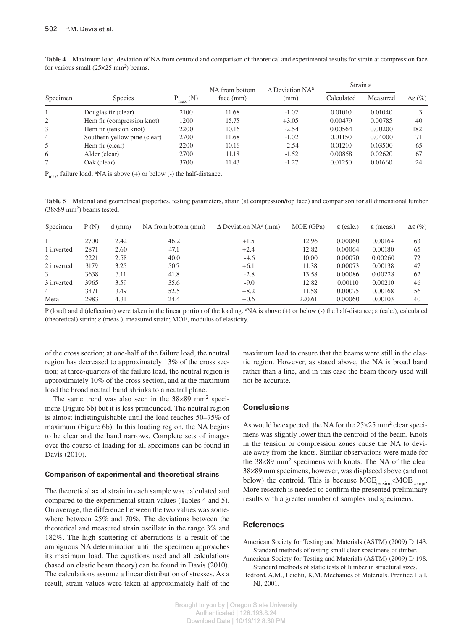|          |                              | $P_{max}$ (N) | NA from bottom<br>face (mm) | $\triangle$ Deviation NA <sup>a</sup> | Strain $\varepsilon$ |          |                          |
|----------|------------------------------|---------------|-----------------------------|---------------------------------------|----------------------|----------|--------------------------|
| Specimen | <b>Species</b>               |               |                             | (mm)                                  | Calculated           | Measured | $\Delta \varepsilon$ (%) |
|          | Douglas fir (clear)          | 2100          | 11.68                       | $-1.02$                               | 0.01010              | 0.01040  |                          |
| 2        | Hem fir (compression knot)   | 1200          | 15.75                       | $+3.05$                               | 0.00479              | 0.00785  | 40                       |
| 3        | Hem fir (tension knot)       | 2200          | 10.16                       | $-2.54$                               | 0.00564              | 0.00200  | 182                      |
| 4        | Southern yellow pine (clear) | 2700          | 11.68                       | $-1.02$                               | 0.01150              | 0.04000  | 71                       |
| 5        | Hem fir (clear)              | 2200          | 10.16                       | $-2.54$                               | 0.01210              | 0.03500  | 65                       |
| 6        | Alder (clear)                | 2700          | 11.18                       | $-1.52$                               | 0.00858              | 0.02620  | 67                       |
|          | Oak (clear)                  | 3700          | 11.43                       | $-1.27$                               | 0.01250              | 0.01660  | 24                       |

**Table 4** Maximum load, deviation of NA from centroid and comparison of theoretical and experimental results for strain at compression face for various small  $(25 \times 25 \text{ mm}^2)$  beams.

 $P_{\text{max}}$ , failure load; <sup>a</sup>NA is above (+) or below (-) the half-distance.

**Table 5** Material and geometrical properties, testing parameters, strain (at compression/top face) and comparison for all dimensional lumber  $(38\times89 \text{ mm}^2)$  beams tested.

| Specimen   | P(N) | $d$ (mm) | NA from bottom (mm) | $\Delta$ Deviation NA <sup>a</sup> (mm) | MOE (GPa) | $\epsilon$ (calc.) | $\epsilon$ (meas.) | $\Delta \varepsilon$ (%) |
|------------|------|----------|---------------------|-----------------------------------------|-----------|--------------------|--------------------|--------------------------|
|            | 2700 | 2.42     | 46.2                | $+1.5$                                  | 12.96     | 0.00060            | 0.00164            | 63                       |
| 1 inverted | 2871 | 2.60     | 47.1                | $+2.4$                                  | 12.82     | 0.00064            | 0.00180            | 65                       |
| 2          | 2221 | 2.58     | 40.0                | $-4.6$                                  | 10.00     | 0.00070            | 0.00260            | 72                       |
| 2 inverted | 3179 | 3.25     | 50.7                | $+6.1$                                  | 11.38     | 0.00073            | 0.00138            | 47                       |
| 3          | 3638 | 3.11     | 41.8                | $-2.8$                                  | 13.58     | 0.00086            | 0.00228            | 62                       |
| 3 inverted | 3965 | 3.59     | 35.6                | $-9.0$                                  | 12.82     | 0.00110            | 0.00210            | 46                       |
| 4          | 3471 | 3.49     | 52.5                | $+8.2$                                  | 11.58     | 0.00075            | 0.00168            | 56                       |
| Metal      | 2983 | 4.31     | 24.4                | $+0.6$                                  | 220.61    | 0.00060            | 0.00103            | 40                       |

P (load) and d (deflection) were taken in the linear portion of the loading. <sup>a</sup>NA is above (+) or below (-) the half-distance; ε (calc.), calculated (theoretical) strain; ε (meas.), measured strain; MOE, modulus of elasticity.

of the cross section; at one-half of the failure load, the neutral region has decreased to approximately 13% of the cross section; at three-quarters of the failure load, the neutral region is approximately 10% of the cross section, and at the maximum load the broad neutral band shrinks to a neutral plane.

The same trend was also seen in the  $38 \times 89$  mm<sup>2</sup> specimens (Figure 6b) but it is less pronounced. The neutral region is almost indistinguishable until the load reaches 50–75% of maximum (Figure 6b). In this loading region, the NA begins to be clear and the band narrows. Complete sets of images over the course of loading for all specimens can be found in Davis (2010).

## **Comparison of experimental and theoretical strains**

 The theoretical axial strain in each sample was calculated and compared to the experimental strain values (Tables 4 and 5). On average, the difference between the two values was somewhere between  $25\%$  and  $70\%$ . The deviations between the theoretical and measured strain oscillate in the range 3% and 182%. The high scattering of aberrations is a result of the ambiguous NA determination until the specimen approaches its maximum load. The equations used and all calculations (based on elastic beam theory) can be found in Davis (2010) . The calculations assume a linear distribution of stresses. As a result, strain values were taken at approximately half of the maximum load to ensure that the beams were still in the elastic region. However, as stated above, the NA is broad band rather than a line, and in this case the beam theory used will not be accurate.

# **Conclusions**

As would be expected, the NA for the  $25 \times 25$  mm<sup>2</sup> clear specimens was slightly lower than the centroid of the beam. Knots in the tension or compression zones cause the NA to deviate away from the knots. Similar observations were made for the  $38 \times 89$  mm<sup>2</sup> specimens with knots. The NA of the clear 38 × 89 mm specimens, however, was displaced above (and not below) the centroid. This is because  $\text{MOE}_{\text{tension}} < \text{MOE}_{\text{compr}}$ . More research is needed to confirm the presented preliminary results with a greater number of samples and specimens.

# **References**

- American Society for Testing and Materials (ASTM) (2009) D 143. Standard methods of testing small clear specimens of timber.
- American Society for Testing and Materials (ASTM) (2009) D 198. Standard methods of static tests of lumber in structural sizes.
- Bedford, A.M., Leichti, K.M. Mechanics of Materials. Prentice Hall, NJ, 2001.